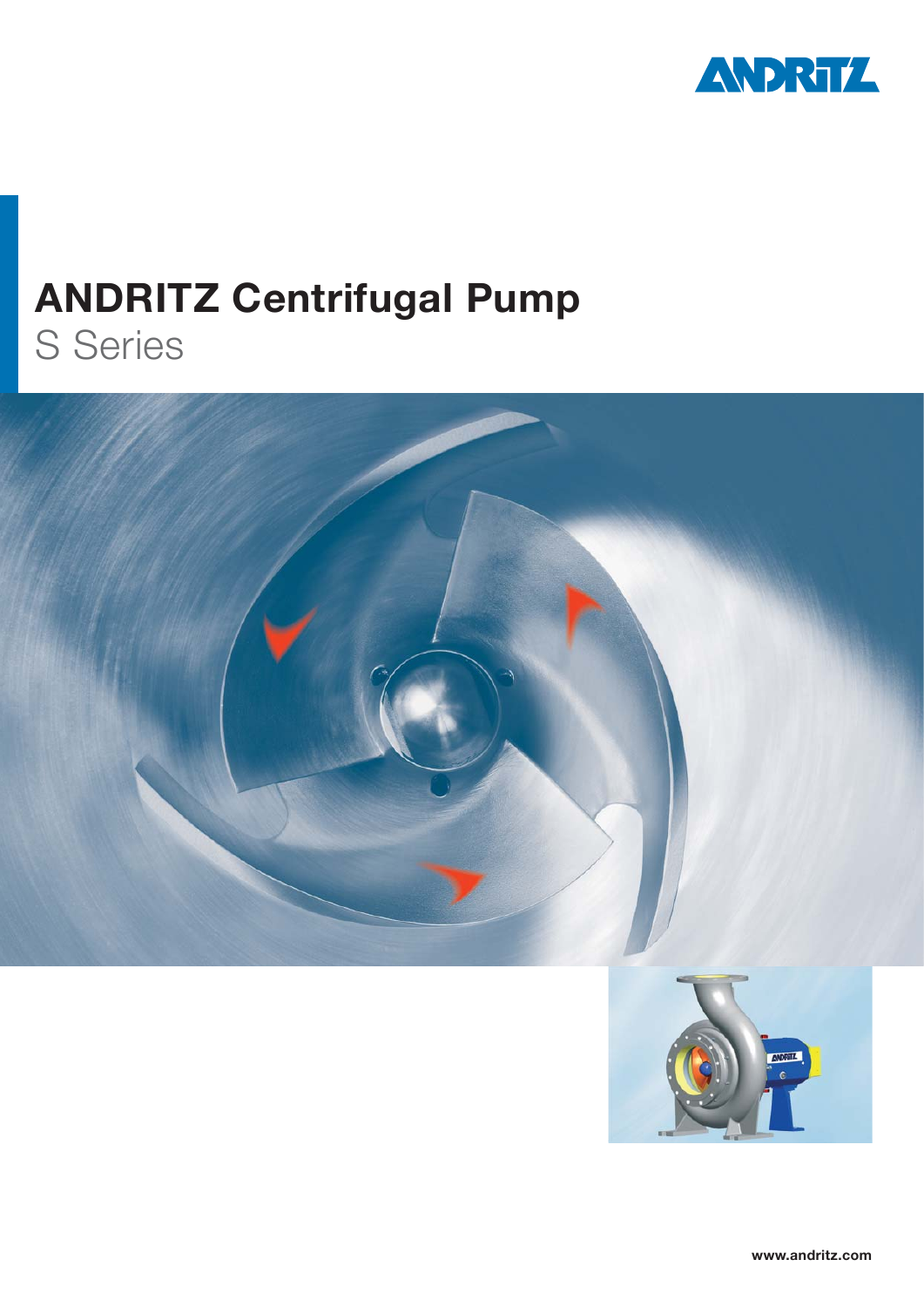

# **ANDRITZ Centrifugal Pump** S Series

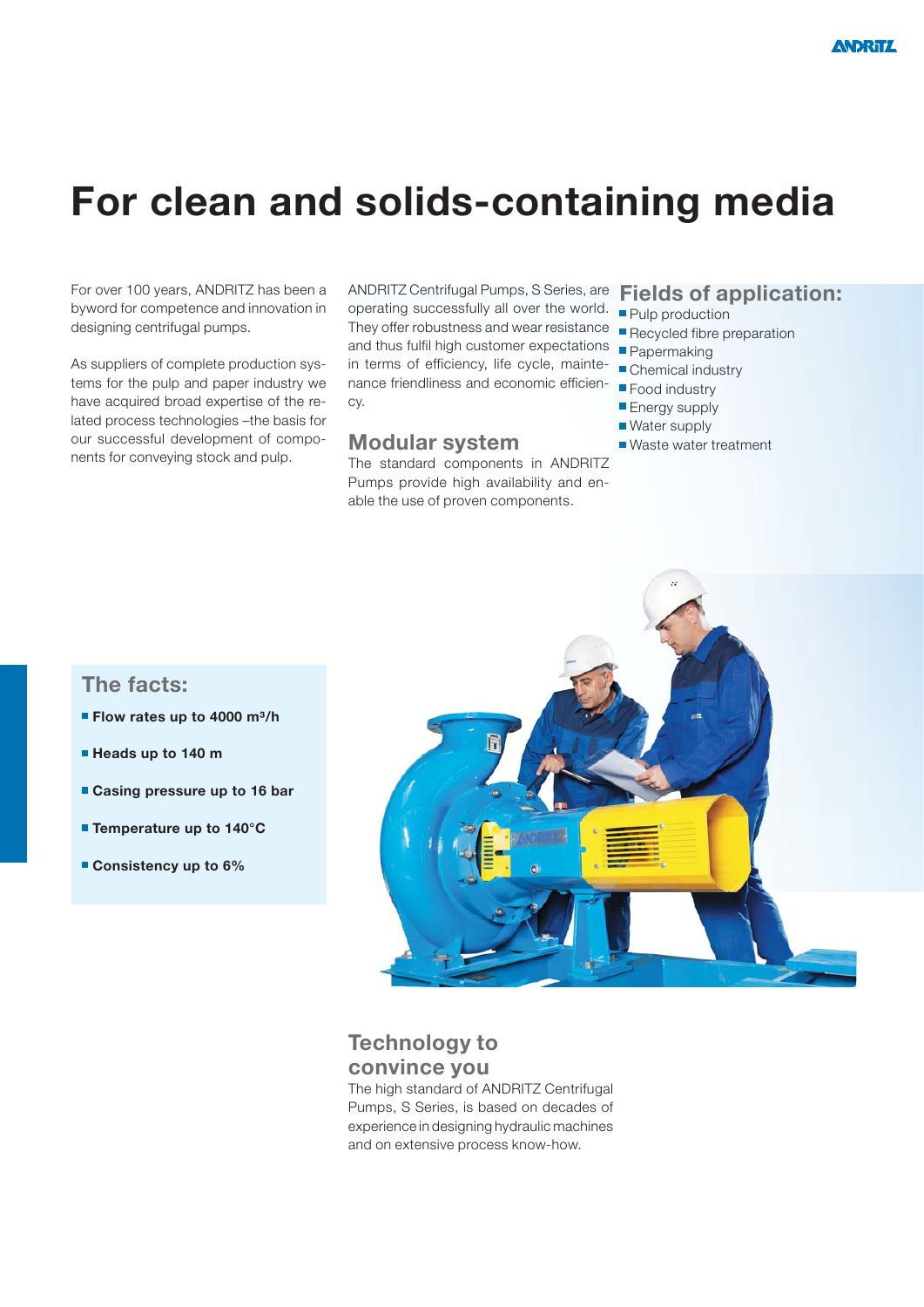# **For clean and solids-containing media**

For over 100 years, ANDRITZ has been a byword for competence and innovation in designing centrifugal pumps.

As suppliers of complete production systems for the pulp and paper industry we have acquired broad expertise of the related process technologies –the basis for our successful development of components for conveying stock and pulp.

ANDRITZ Centrifugal Pumps, S Series, are **Fields of application:** operating successfully all over the world. **Pulp production** They offer robustness and wear resistance **Recycled fibre preparation** and thus fulfil high customer expectations **Papermaking** in terms of efficiency, life cycle, maintenance friendliness and economic efficiency.

#### **Modular system**

The standard components in ANDRITZ Pumps provide high availability and enable the use of proven components.

- 
- 
- 
- Chemical industry
- **Food industry**
- **Energy supply**
- Water supply
- Waste water treatment

### **The facts:**

- **Flow rates up to 4000 m<sup>3</sup>/h**
- **Heads up to 140 m**
- **Casing pressure up to 16 bar**
- **Temperature up to 140°C**
- **Consistency up to 6%**



### **Technology to convince you**

The high standard of ANDRITZ Centrifugal Pumps, S Series, is based on decades of experience in designing hydraulic machines and on extensive process know-how.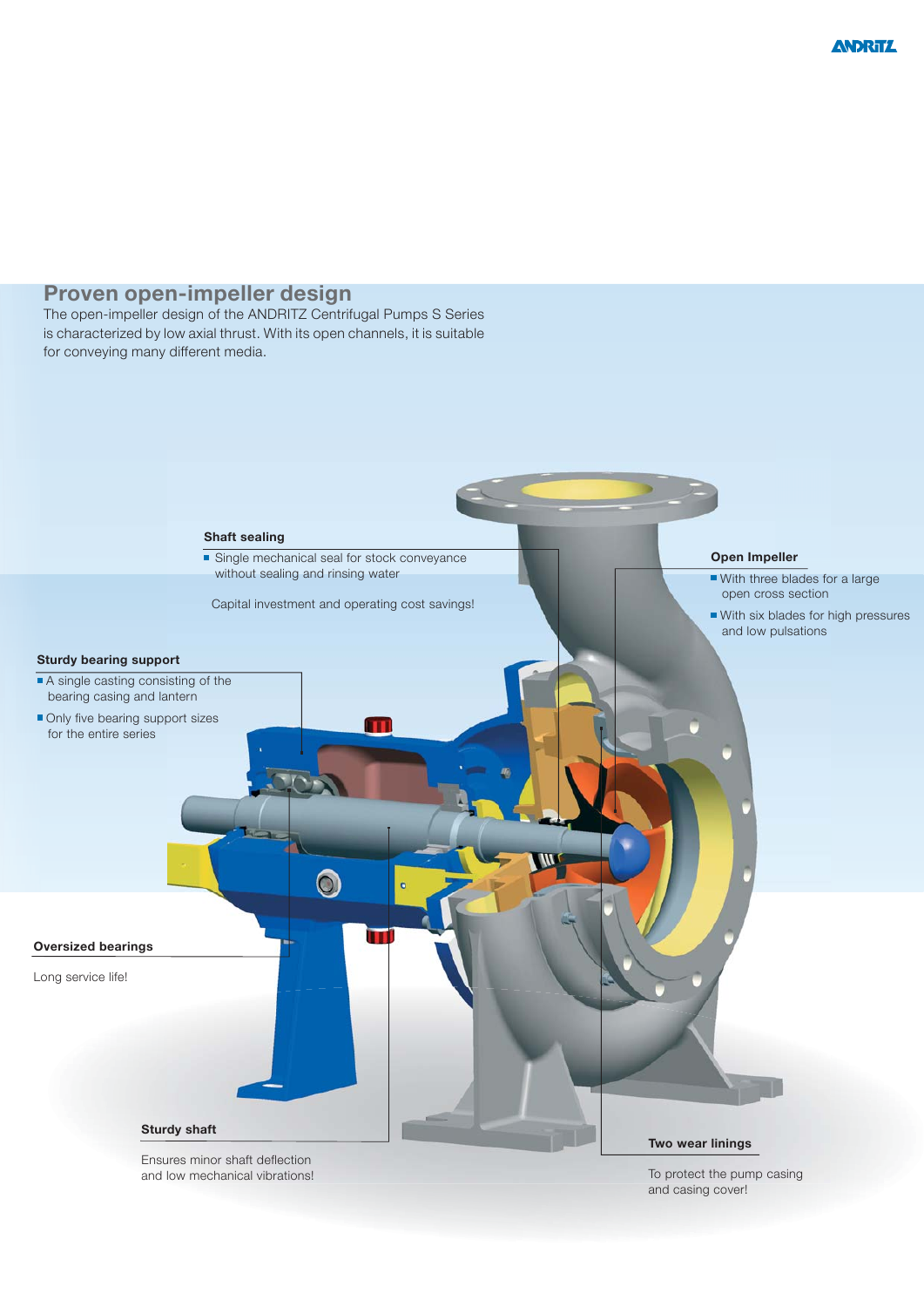### **Proven open-impeller design**

The open-impeller design of the ANDRITZ Centrifugal Pumps S Series is characterized by low axial thrust. With its open channels, it is suitable for conveying many different media.

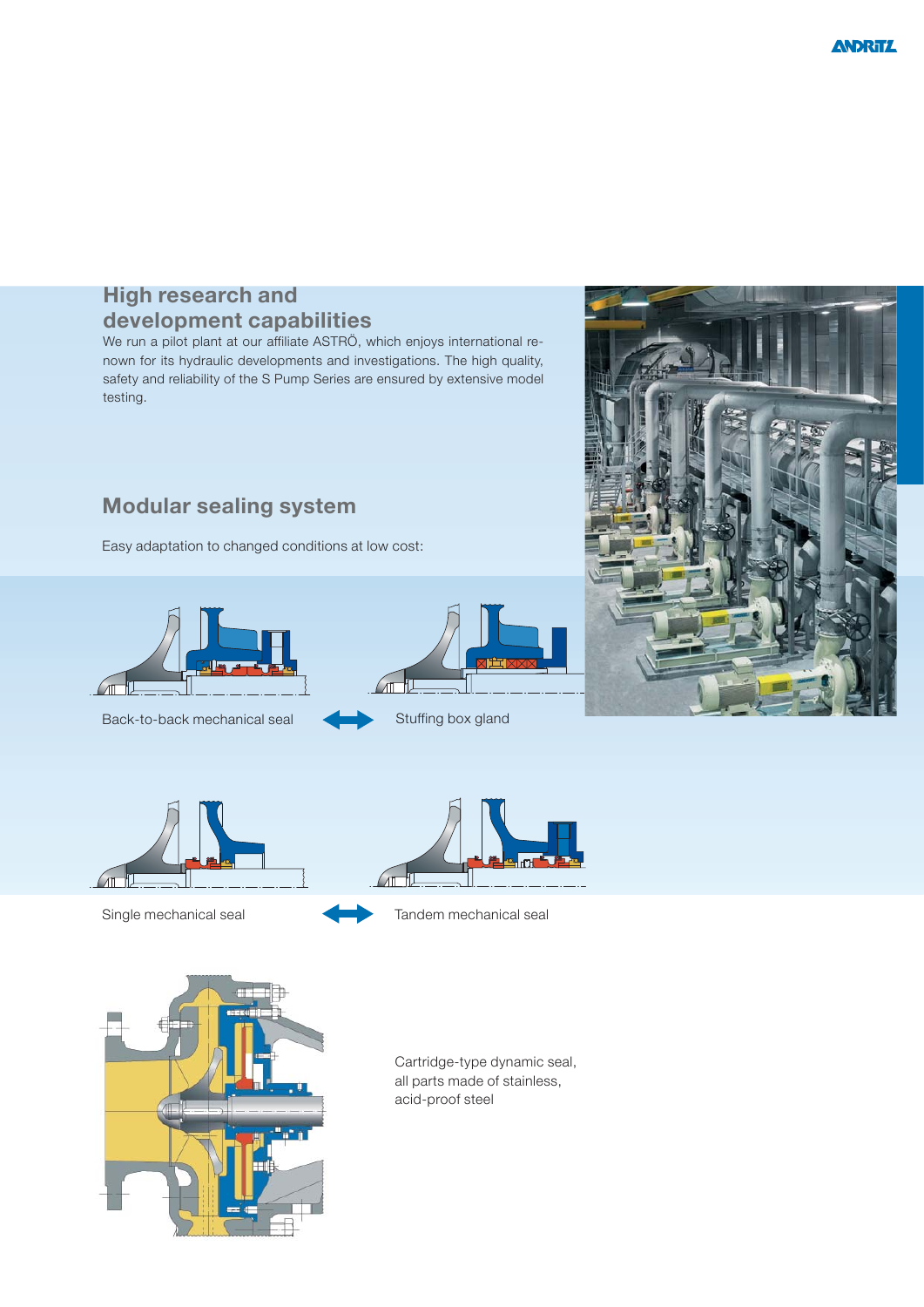## **High research and development capabilities**

We run a pilot plant at our affiliate ASTRÖ, which enjoys international renown for its hydraulic developments and investigations. The high quality, safety and reliability of the S Pump Series are ensured by extensive model testing.

# **Modular sealing system**

Easy adaptation to changed conditions at low cost:



Back-to-back mechanical seal Stuffing box gland









Single mechanical seal **Tandem mechanical seal** 



Cartridge-type dynamic seal, all parts made of stainless, acid-proof steel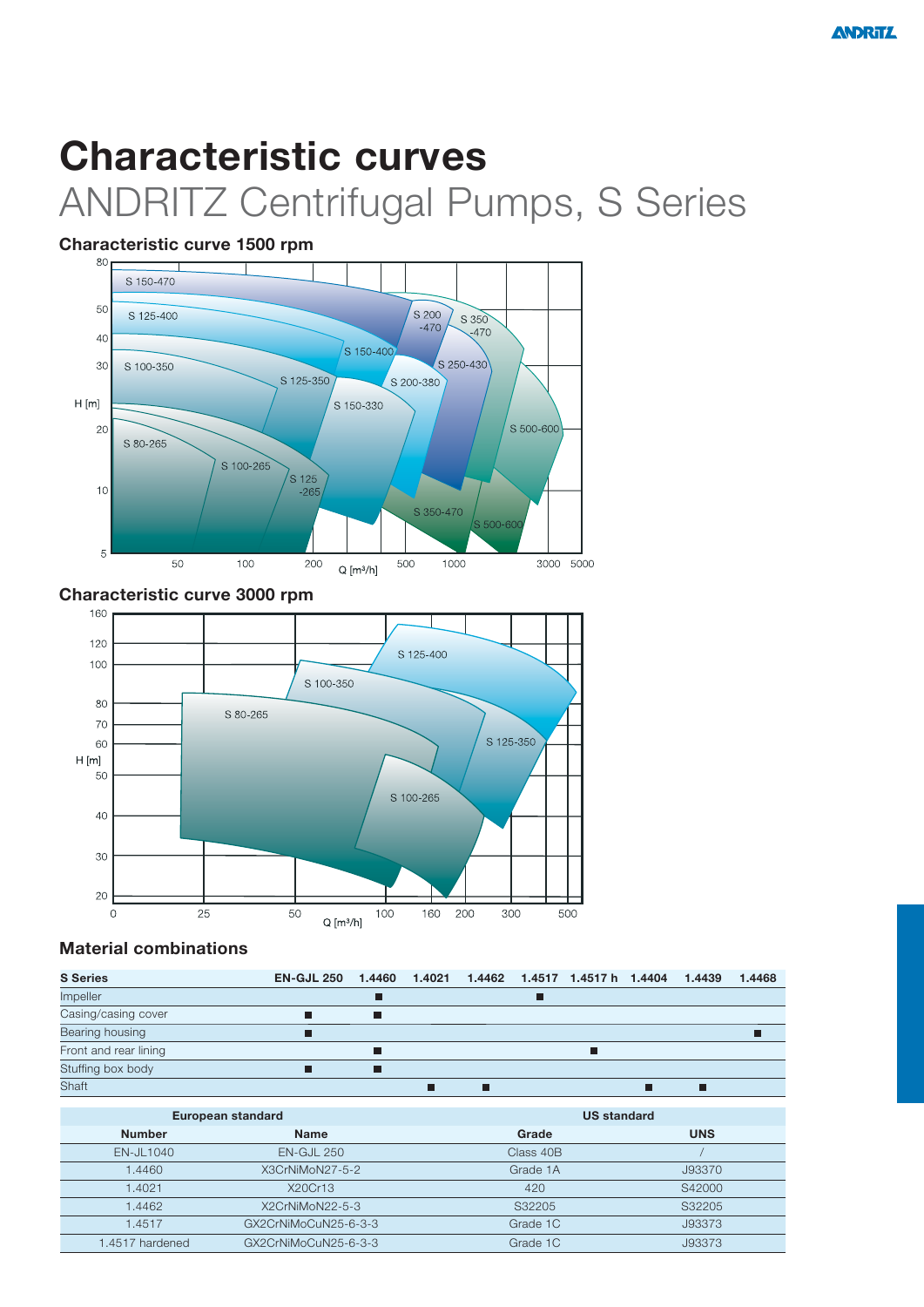# **Characteristic curves** ANDRITZ Centrifugal Pumps, S Series

### **Characteristic curve 1500 rpm**



**Characteristic curve 3000 rpm**



#### **Material combinations**

| <b>S</b> Series       | EN-GJL 250 1.4460 1.4021 1.4462 1.4517 1.4517 h 1.4404 |   |  |  | 1.4439 | 1.4468 |
|-----------------------|--------------------------------------------------------|---|--|--|--------|--------|
| Impeller              |                                                        |   |  |  |        |        |
| Casing/casing cover   |                                                        | ш |  |  |        |        |
| Bearing housing       |                                                        |   |  |  |        |        |
| Front and rear lining |                                                        |   |  |  |        |        |
| Stuffing box body     |                                                        | П |  |  |        |        |
| Shaft                 |                                                        |   |  |  |        |        |

|                 | European standard    | <b>US standard</b> |            |  |  |
|-----------------|----------------------|--------------------|------------|--|--|
| <b>Number</b>   | <b>Name</b>          | Grade              | <b>UNS</b> |  |  |
| $EN$ -JL1040    | $EN-GJL 250$         | Class 40B          |            |  |  |
| 1.4460          | X3CrNiMoN27-5-2      | Grade 1A           | J93370     |  |  |
| 1.4021          | X20Cr13              | 420                | S42000     |  |  |
| 1.4462          | X2CrNiMoN22-5-3      | S32205             | S32205     |  |  |
| 1.4517          | GX2CrNiMoCuN25-6-3-3 | Grade 1C           | J93373     |  |  |
| 1.4517 hardened | GX2CrNiMoCuN25-6-3-3 | Grade 1C           | J93373     |  |  |